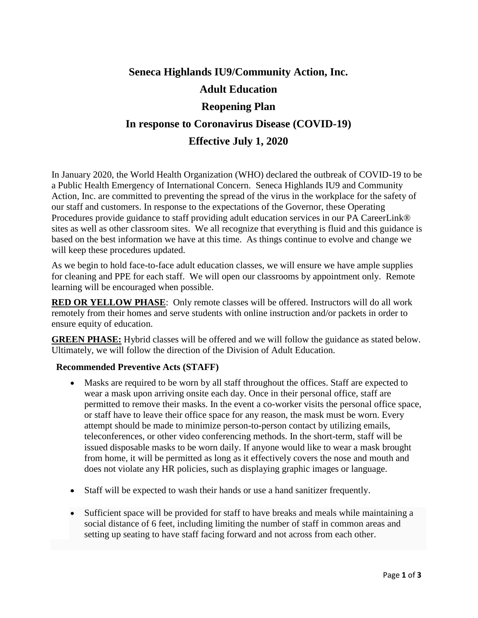# **Seneca Highlands IU9/Community Action, Inc. Adult Education Reopening Plan In response to Coronavirus Disease (COVID-19) Effective July 1, 2020**

In January 2020, the World Health Organization (WHO) declared the outbreak of COVID-19 to be a Public Health Emergency of International Concern. Seneca Highlands IU9 and Community Action, Inc. are committed to preventing the spread of the virus in the workplace for the safety of our staff and customers. In response to the expectations of the Governor, these Operating Procedures provide guidance to staff providing adult education services in our PA CareerLink® sites as well as other classroom sites. We all recognize that everything is fluid and this guidance is based on the best information we have at this time. As things continue to evolve and change we will keep these procedures updated.

As we begin to hold face-to-face adult education classes, we will ensure we have ample supplies for cleaning and PPE for each staff. We will open our classrooms by appointment only. Remote learning will be encouraged when possible.

**RED OR YELLOW PHASE**: Only remote classes will be offered. Instructors will do all work remotely from their homes and serve students with online instruction and/or packets in order to ensure equity of education.

**GREEN PHASE:** Hybrid classes will be offered and we will follow the guidance as stated below. Ultimately, we will follow the direction of the Division of Adult Education.

## **Recommended Preventive Acts (STAFF)**

- Masks are required to be worn by all staff throughout the offices. Staff are expected to wear a mask upon arriving onsite each day. Once in their personal office, staff are permitted to remove their masks. In the event a co-worker visits the personal office space, or staff have to leave their office space for any reason, the mask must be worn. Every attempt should be made to minimize person-to-person contact by utilizing emails, teleconferences, or other video conferencing methods. In the short-term, staff will be issued disposable masks to be worn daily. If anyone would like to wear a mask brought from home, it will be permitted as long as it effectively covers the nose and mouth and does not violate any HR policies, such as displaying graphic images or language.
- Staff will be expected to wash their hands or use a hand sanitizer frequently.
- Sufficient space will be provided for staff to have breaks and meals while maintaining a social distance of 6 feet, including limiting the number of staff in common areas and setting up seating to have staff facing forward and not across from each other.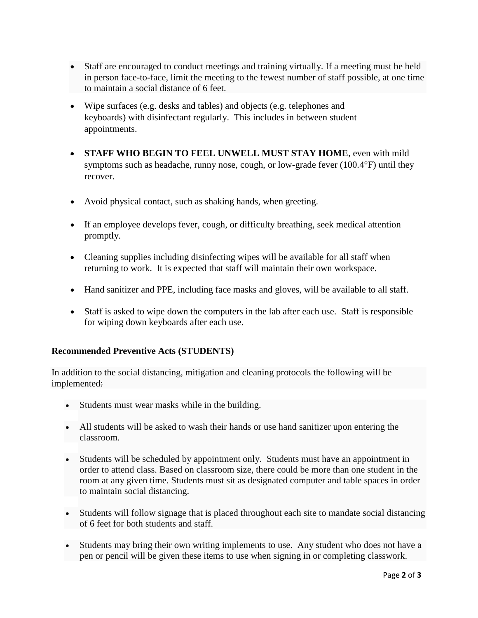- Staff are encouraged to conduct meetings and training virtually. If a meeting must be held in person face-to-face, limit the meeting to the fewest number of staff possible, at one time to maintain a social distance of 6 feet.
- Wipe surfaces (e.g. desks and tables) and objects (e.g. telephones and keyboards) with disinfectant regularly. This includes in between student appointments.
- **STAFF WHO BEGIN TO FEEL UNWELL MUST STAY HOME**, even with mild symptoms such as headache, runny nose, cough, or low-grade fever (100.4°F) until they recover.
- Avoid physical contact, such as shaking hands, when greeting.
- If an employee develops fever, cough, or difficulty breathing, seek medical attention promptly.
- Cleaning supplies including disinfecting wipes will be available for all staff when returning to work. It is expected that staff will maintain their own workspace.
- Hand sanitizer and PPE, including face masks and gloves, will be available to all staff.
- Staff is asked to wipe down the computers in the lab after each use. Staff is responsible for wiping down keyboards after each use.

#### **Recommended Preventive Acts (STUDENTS)**

In addition to the social distancing, mitigation and cleaning protocols the following will be implemented:

- Students must wear masks while in the building.
- All students will be asked to wash their hands or use hand sanitizer upon entering the classroom.
- Students will be scheduled by appointment only. Students must have an appointment in order to attend class. Based on classroom size, there could be more than one student in the room at any given time. Students must sit as designated computer and table spaces in order to maintain social distancing.
- Students will follow signage that is placed throughout each site to mandate social distancing of 6 feet for both students and staff.
- Students may bring their own writing implements to use. Any student who does not have a pen or pencil will be given these items to use when signing in or completing classwork.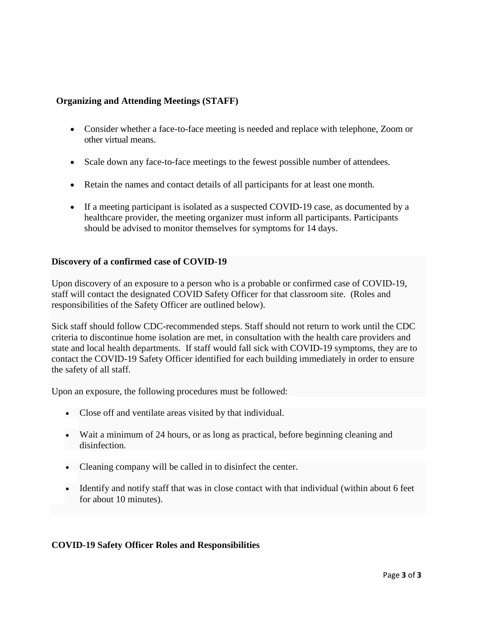## **Organizing and Attending Meetings (STAFF)**

- Consider whether a face-to-face meeting is needed and replace with telephone, Zoom or other virtual means.
- Scale down any face-to-face meetings to the fewest possible number of attendees.
- Retain the names and contact details of all participants for at least one month.
- If a meeting participant is isolated as a suspected COVID-19 case, as documented by a healthcare provider, the meeting organizer must inform all participants. Participants should be advised to monitor themselves for symptoms for 14 days.

#### **Discovery of a confirmed case of COVID-19**

Upon discovery of an exposure to a person who is a probable or confirmed case of COVID-19, staff will contact the designated COVID Safety Officer for that classroom site. (Roles and responsibilities of the Safety Officer are outlined below).

Sick staff should follow CDC-recommended steps. Staff should not return to work until the CDC criteria to discontinue home isolation are met, in consultation with the health care providers and state and local health departments. If staff would fall sick with COVID-19 symptoms, they are to contact the COVID-19 Safety Officer identified for each building immediately in order to ensure the safety of all staff.

Upon an exposure, the following procedures must be followed:

- Close off and ventilate areas visited by that individual.
- Wait a minimum of 24 hours, or as long as practical, before beginning cleaning and disinfection.
- Cleaning company will be called in to disinfect the center.
- Identify and notify staff that was in close contact with that individual (within about 6 feet for about 10 minutes).

## **COVID-19 Safety Officer Roles and Responsibilities**